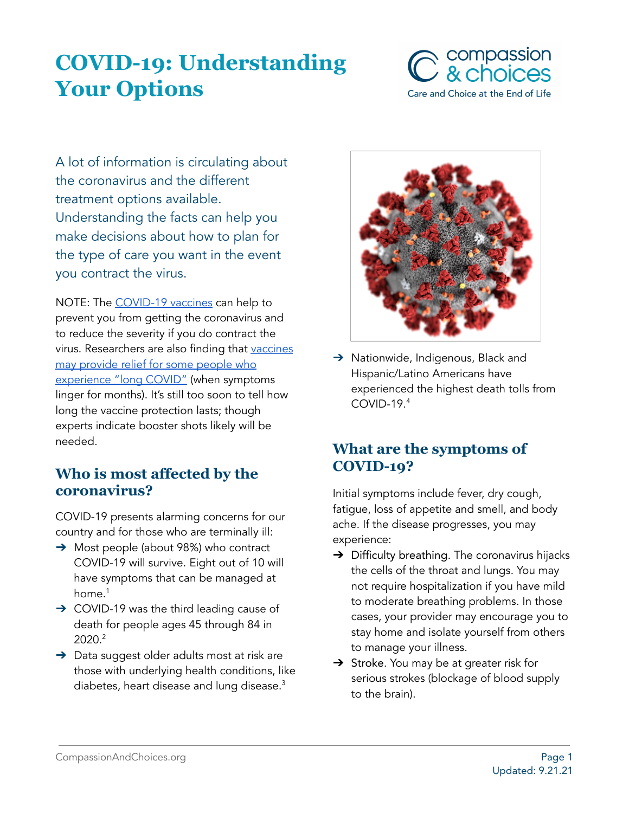# **COVID-19: Understanding Your Options**



A lot of information is circulating about the coronavirus and the different treatment options available. Understanding the facts can help you make decisions about how to plan for the type of care you want in the event you contract the virus.

NOTE: The [COVID-19](https://www.cdc.gov/coronavirus/2019-ncov/vaccines/index.html) vaccines can help to prevent you from getting the coronavirus and to reduce the severity if you do contract the virus. Researchers are also finding that [vaccines](https://www.yalemedicine.org/news/vaccines-long-covid) may [provide](https://www.yalemedicine.org/news/vaccines-long-covid) relief for some people who [experience](https://www.yalemedicine.org/news/vaccines-long-covid) "long COVID" (when symptoms linger for months). It's still too soon to tell how long the vaccine protection lasts; though experts indicate booster shots likely will be needed.

# **Who is most affected by the coronavirus?**

COVID-19 presents alarming concerns for our country and for those who are terminally ill:

- ➔ Most people (about 98%) who contract COVID-19 will survive. Eight out of 10 will have symptoms that can be managed at home. 1
- → COVID-19 was the third leading cause of death for people ages 45 through 84 in 2020. 2
- → Data suggest older adults most at risk are those with underlying health conditions, like diabetes, heart disease and lung disease. 3



→ Nationwide, Indigenous, Black and Hispanic/Latino Americans have experienced the highest death tolls from COVID-19. 4

# **What are the symptoms of COVID-19?**

Initial symptoms include fever, dry cough, fatigue, loss of appetite and smell, and body ache. If the disease progresses, you may experience:

- $\rightarrow$  Difficulty breathing. The coronavirus hijacks the cells of the throat and lungs. You may not require hospitalization if you have mild to moderate breathing problems. In those cases, your provider may encourage you to stay home and isolate yourself from others to manage your illness.
- → Stroke. You may be at greater risk for serious strokes (blockage of blood supply to the brain).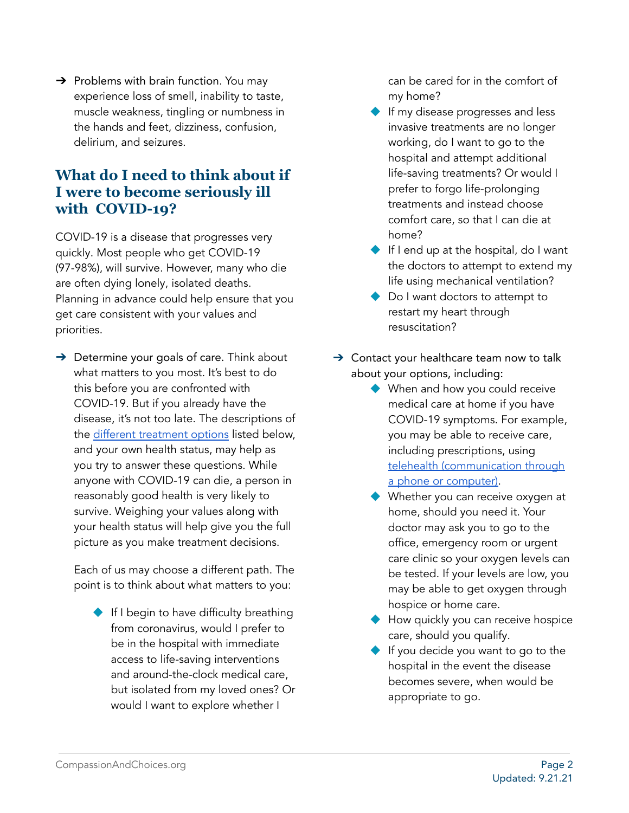$\rightarrow$  Problems with brain function. You may experience loss of smell, inability to taste, muscle weakness, tingling or numbness in the hands and feet, dizziness, confusion, delirium, and seizures.

# **What do I need to think about if I were to become seriously ill with COVID-19?**

COVID-19 is a disease that progresses very quickly. Most people who get COVID-19 (97-98%), will survive. However, many who die are often dying lonely, isolated deaths. Planning in advance could help ensure that you get care consistent with your values and priorities.

 $\rightarrow$  Determine your goals of care. Think about what matters to you most. It's best to do this before you are confronted with COVID-19. But if you already have the disease, it's not too late. The descriptions of the different [treatment](https://docs.google.com/document/d/1CcsZ0UVUm_JuRWNQIXH8YpkuRqE2kfyGfCLI-NWoLI0/edit#heading=h.tgsl97ov8ycn) options listed below, and your own health status, may help as you try to answer these questions. While anyone with COVID-19 can die, a person in reasonably good health is very likely to survive. Weighing your values along with your health status will help give you the full picture as you make treatment decisions.

Each of us may choose a different path. The point is to think about what matters to you:

◆ If I begin to have difficulty breathing from coronavirus, would I prefer to be in the hospital with immediate access to life-saving interventions and around-the-clock medical care, but isolated from my loved ones? Or would I want to explore whether I

can be cared for in the comfort of my home?

- ◆ If my disease progresses and less invasive treatments are no longer working, do I want to go to the hospital and attempt additional life-saving treatments? Or would I prefer to forgo life-prolonging treatments and instead choose comfort care, so that I can die at home?
- ◆ If I end up at the hospital, do I want the doctors to attempt to extend my life using mechanical ventilation?
- ◆ Do I want doctors to attempt to restart my heart through resuscitation?
- $\rightarrow$  Contact your healthcare team now to talk about your options, including:
	- ◆ When and how you could receive medical care at home if you have COVID-19 symptoms. For example, you may be able to receive care, including prescriptions, using telehealth [\(communication](https://docs.google.com/document/d/1UMet2y3UtHEw7aGeuKigf7cD6UKz9eeX1Ltg8Ov2cVQ/edit?pli=1#) through a phone or [computer\).](https://docs.google.com/document/d/1UMet2y3UtHEw7aGeuKigf7cD6UKz9eeX1Ltg8Ov2cVQ/edit?pli=1#)
	- ◆ Whether you can receive oxygen at home, should you need it. Your doctor may ask you to go to the office, emergency room or urgent care clinic so your oxygen levels can be tested. If your levels are low, you may be able to get oxygen through hospice or home care.
	- ◆ How quickly you can receive hospice care, should you qualify.
	- ◆ If you decide you want to go to the hospital in the event the disease becomes severe, when would be appropriate to go.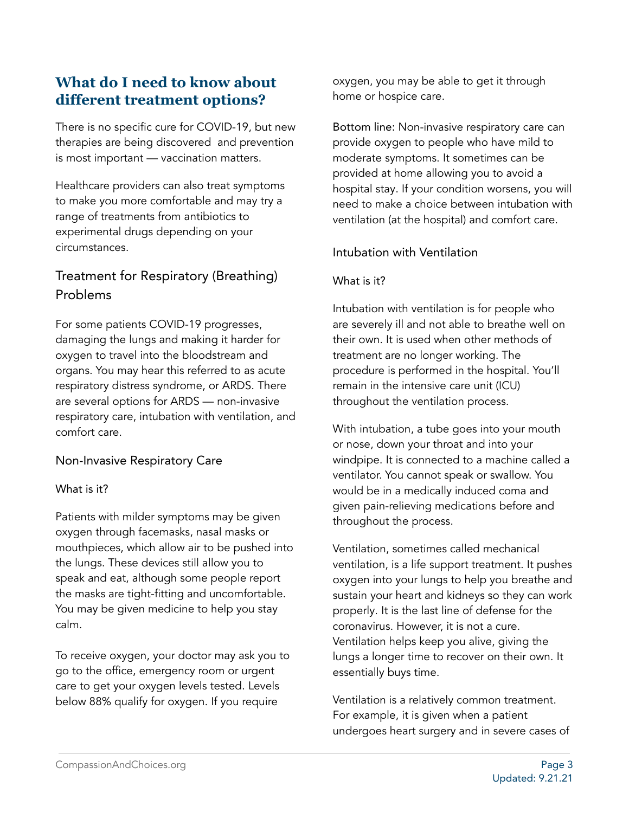# **What do I need to know about different treatment options?**

There is no specific cure for COVID-19, but new therapies are being discovered and prevention is most important — vaccination matters.

Healthcare providers can also treat symptoms to make you more comfortable and may try a range of treatments from antibiotics to experimental drugs depending on your circumstances.

# Treatment for Respiratory (Breathing) Problems

For some patients COVID-19 progresses, damaging the lungs and making it harder for oxygen to travel into the bloodstream and organs. You may hear this referred to as acute respiratory distress syndrome, or ARDS. There are several options for ARDS — non-invasive respiratory care, intubation with ventilation, and comfort care.

Non-Invasive Respiratory Care

#### What is it?

Patients with milder symptoms may be given oxygen through facemasks, nasal masks or mouthpieces, which allow air to be pushed into the lungs. These devices still allow you to speak and eat, although some people report the masks are tight-fitting and uncomfortable. You may be given medicine to help you stay calm.

To receive oxygen, your doctor may ask you to go to the office, emergency room or urgent care to get your oxygen levels tested. Levels below 88% qualify for oxygen. If you require

oxygen, you may be able to get it through home or hospice care.

Bottom line: Non-invasive respiratory care can provide oxygen to people who have mild to moderate symptoms. It sometimes can be provided at home allowing you to avoid a hospital stay. If your condition worsens, you will need to make a choice between intubation with ventilation (at the hospital) and comfort care.

## Intubation with Ventilation

#### What is it?

Intubation with ventilation is for people who are severely ill and not able to breathe well on their own. It is used when other methods of treatment are no longer working. The procedure is performed in the hospital. You'll remain in the intensive care unit (ICU) throughout the ventilation process.

With intubation, a tube goes into your mouth or nose, down your throat and into your windpipe. It is connected to a machine called a ventilator. You cannot speak or swallow. You would be in a medically induced coma and given pain-relieving medications before and throughout the process.

Ventilation, sometimes called mechanical ventilation, is a life support treatment. It pushes oxygen into your lungs to help you breathe and sustain your heart and kidneys so they can work properly. It is the last line of defense for the coronavirus. However, it is not a cure. Ventilation helps keep you alive, giving the lungs a longer time to recover on their own. It essentially buys time.

Ventilation is a relatively common treatment. For example, it is given when a patient undergoes heart surgery and in severe cases of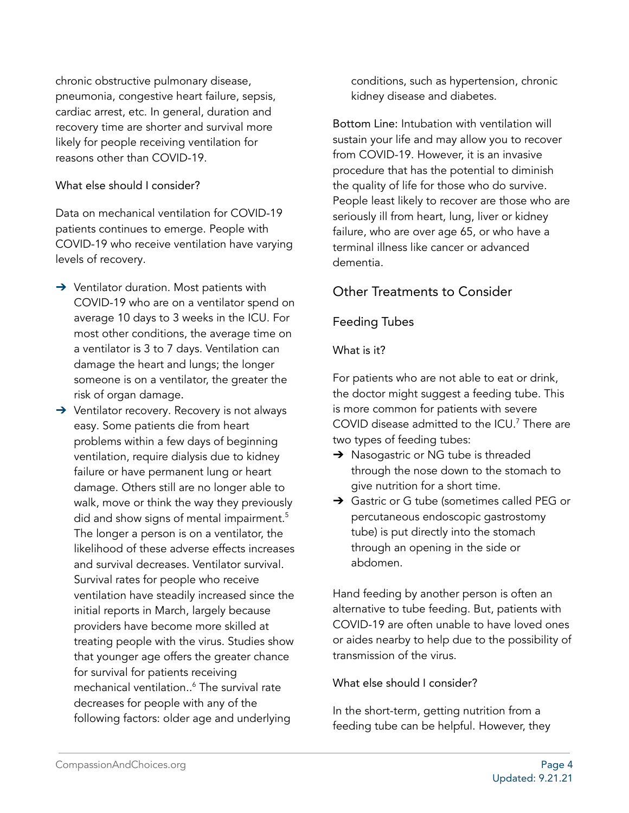chronic obstructive pulmonary disease, pneumonia, congestive heart failure, sepsis, cardiac arrest, etc. In general, duration and recovery time are shorter and survival more likely for people receiving ventilation for reasons other than COVID-19.

#### What else should I consider?

Data on mechanical ventilation for COVID-19 patients continues to emerge. People with COVID-19 who receive ventilation have varying levels of recovery.

- → Ventilator duration. Most patients with COVID-19 who are on a ventilator spend on average 10 days to 3 weeks in the ICU. For most other conditions, the average time on a ventilator is 3 to 7 days. Ventilation can damage the heart and lungs; the longer someone is on a ventilator, the greater the risk of organ damage.
- ➔ Ventilator recovery. Recovery is not always easy. Some patients die from heart problems within a few days of beginning ventilation, require dialysis due to kidney failure or have permanent lung or heart damage. Others still are no longer able to walk, move or think the way they previously did and show signs of mental impairment. 5 The longer a person is on a ventilator, the likelihood of these adverse effects increases and survival decreases. Ventilator survival. Survival rates for people who receive ventilation have steadily increased since the initial reports in March, largely because providers have become more skilled at treating people with the virus. Studies show that younger age offers the greater chance for survival for patients receiving mechanical ventilation.. <sup>6</sup> The survival rate decreases for people with any of the following factors: older age and underlying

conditions, such as hypertension, chronic kidney disease and diabetes.

Bottom Line: Intubation with ventilation will sustain your life and may allow you to recover from COVID-19. However, it is an invasive procedure that has the potential to diminish the quality of life for those who do survive. People least likely to recover are those who are seriously ill from heart, lung, liver or kidney failure, who are over age 65, or who have a terminal illness like cancer or advanced dementia.

## Other Treatments to Consider

## Feeding Tubes

#### What is it?

For patients who are not able to eat or drink, the doctor might suggest a feeding tube. This is more common for patients with severe COVID disease admitted to the ICU. <sup>7</sup> There are two types of feeding tubes:

- → Nasogastric or NG tube is threaded through the nose down to the stomach to give nutrition for a short time.
- ➔ Gastric or G tube (sometimes called PEG or percutaneous endoscopic gastrostomy tube) is put directly into the stomach through an opening in the side or abdomen.

Hand feeding by another person is often an alternative to tube feeding. But, patients with COVID-19 are often unable to have loved ones or aides nearby to help due to the possibility of transmission of the virus.

#### What else should I consider?

In the short-term, getting nutrition from a feeding tube can be helpful. However, they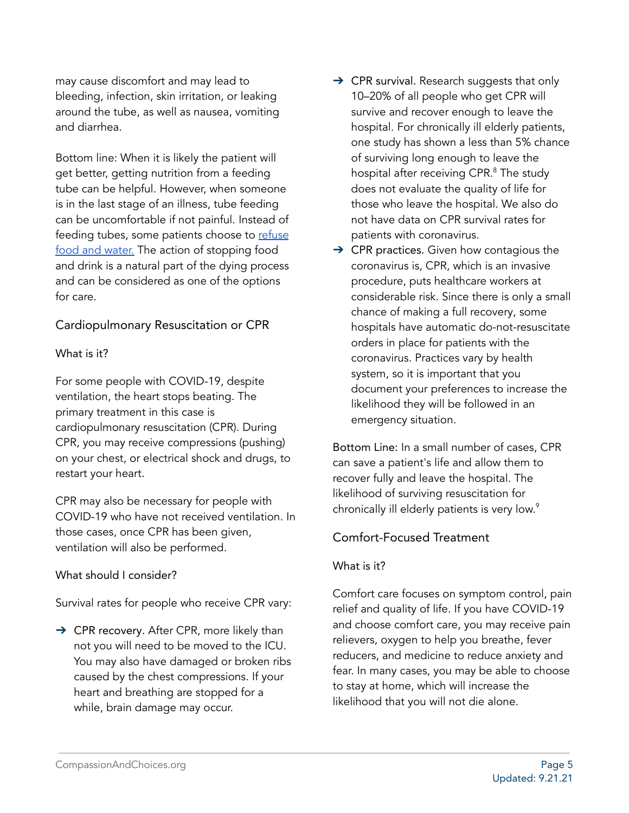may cause discomfort and may lead to bleeding, infection, skin irritation, or leaking around the tube, as well as nausea, vomiting and diarrhea.

Bottom line: When it is likely the patient will get better, getting nutrition from a feeding tube can be helpful. However, when someone is in the last stage of an illness, tube feeding can be uncomfortable if not painful. Instead of feeding tubes, some patients choose to [refuse](https://compassionandchoices.org/end-of-life-planning/learn/vsed/) food and [water.](https://compassionandchoices.org/end-of-life-planning/learn/vsed/) The action of stopping food and drink is a natural part of the dying process and can be considered as one of the options for care.

## Cardiopulmonary Resuscitation or CPR

#### What is it?

For some people with COVID-19, despite ventilation, the heart stops beating. The primary treatment in this case is cardiopulmonary resuscitation (CPR). During CPR, you may receive compressions (pushing) on your chest, or electrical shock and drugs, to restart your heart.

CPR may also be necessary for people with COVID-19 who have not received ventilation. In those cases, once CPR has been given, ventilation will also be performed.

#### What should I consider?

Survival rates for people who receive CPR vary:

→ CPR recovery. After CPR, more likely than not you will need to be moved to the ICU. You may also have damaged or broken ribs caused by the chest compressions. If your heart and breathing are stopped for a while, brain damage may occur.

- $\rightarrow$  CPR survival. [Research](https://well.blogs.nytimes.com/2014/07/17/the-cpr-we-dont-see-on-tv/) suggests that only 10–20% of all people who get CPR will survive and recover enough to leave the hospital. For chronically ill elderly patients, one [study](https://www.nejm.org/doi/full/10.1056/NEJM199402243300807#t=articleResults) has shown a less than 5% chance of surviving long enough to leave the hospital after receiving CPR. <sup>8</sup> The study does not evaluate the quality of life for those who leave the hospital. We also do not have data on CPR survival rates for patients with coronavirus.
- $\rightarrow$  CPR practices. Given how contagious the coronavirus is, CPR, which is an invasive procedure, puts healthcare workers at considerable risk. Since there is only a small chance of making a full recovery, some hospitals have automatic do-not-resuscitate orders in place for patients with the coronavirus. Practices vary by health system, so it is important that you document your preferences to increase the likelihood they will be followed in an emergency situation.

Bottom Line: In a small number of cases, CPR can save a patient's life and allow them to recover fully and leave the hospital. The likelihood of surviving resuscitation for chronically ill elderly patients is very low. 9

## Comfort-Focused Treatment

#### What is it?

Comfort care focuses on symptom control, pain relief and quality of life. If you have COVID-19 and choose comfort care, you may receive pain relievers, oxygen to help you breathe, fever reducers, and medicine to reduce anxiety and fear. In many cases, you may be able to choose to stay at home, which will increase the likelihood that you will not die alone.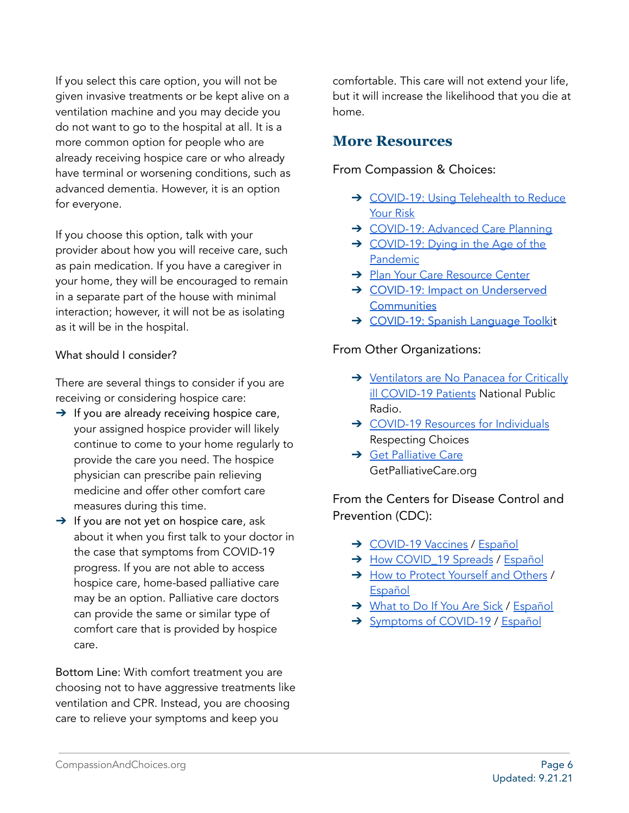If you select this care option, you will not be given invasive treatments or be kept alive on a ventilation machine and you may decide you do not want to go to the hospital at all. It is a more common option for people who are already receiving hospice care or who already have terminal or worsening conditions, such as advanced dementia. However, it is an option for everyone.

If you choose this option, talk with your provider about how you will receive care, such as pain medication. If you have a caregiver in your home, they will be encouraged to remain in a separate part of the house with minimal interaction; however, it will not be as isolating as it will be in the hospital.

#### What should I consider?

There are several things to consider if you are receiving or considering hospice care:

- $\rightarrow$  If you are already receiving hospice care, your assigned hospice provider will likely continue to come to your home regularly to provide the care you need. The hospice physician can prescribe pain relieving medicine and offer other comfort care measures during this time.
- $\rightarrow$  If you are not yet on hospice care, ask about it when you first talk to your doctor in the case that symptoms from COVID-19 progress. If you are not able to access hospice care, home-based palliative care may be an option. Palliative care doctors can provide the same or similar type of comfort care that is provided by hospice care.

Bottom Line: With comfort treatment you are choosing not to have aggressive treatments like ventilation and CPR. Instead, you are choosing care to relieve your symptoms and keep you

comfortable. This care will not extend your life, but it will increase the likelihood that you die at home.

## **More Resources**

From Compassion & Choices:

- → [COVID-19:](https://compassionandchoices.org/resource/covid-19-using-telehealth-to-reduce-your-risk/) Using Telehealth to Reduce [Your](https://compassionandchoices.org/resource/covid-19-using-telehealth-to-reduce-your-risk/) Risk
- → [COVID-19:](https://compassionandchoices.org/resource/covid-19-advance-care-planning/) Advanced Care Planning
- ➔ [COVID-19:](https://compassionandchoices.org/resource/covid-19-dying-in-the-age-of-the-pandemic/) Dying in the Age of the [Pandemic](https://compassionandchoices.org/resource/covid-19-dying-in-the-age-of-the-pandemic/)
- → Plan Your Care [Resource](https://compassionandchoices.org/end-of-life-planning/) Center
- → COVID-19: Impact on [Underserved](https://compassionandchoices.org/resource/covid-19-impact-on-underserved-communities/) **[Communities](https://compassionandchoices.org/resource/covid-19-impact-on-underserved-communities/)**
- → [COVID-19:](https://compassionandchoices.org/end-of-life-planning/covid-19-toolkit/juego-de-herramientas-del-covid-19/) Spanish Language Toolkit

#### From Other Organizations:

- → [Ventilators](https://www.npr.org/sections/health-shots/2020/04/02/826105278/ventilators-are-no-panacea-for-critically-ill-covid-19-patients) are No Panacea for Critically ill [COVID-19](https://www.npr.org/sections/health-shots/2020/04/02/826105278/ventilators-are-no-panacea-for-critically-ill-covid-19-patients) Patients National Public Radio.
- → COVID-19 Resources for [Individuals](https://respectingchoices.org/covid-19-resources/#resources-for-individuals) Respecting Choices
- **→ Get [Palliative](https://getpalliativecare.org/) Care** GetPalliativeCare.org

## From the Centers for Disease Control and Prevention (CDC):

- → [COVID-19](https://www.cdc.gov/coronavirus/2019-ncov/vaccines/index.html) Vaccines / [Español](https://espanol.cdc.gov/coronavirus/2019-ncov/vaccines/index.html)
- → How COVID 19 Spreads / [Español](https://espanol.cdc.gov/coronavirus/2019-ncov/prevent-getting-sick/how-covid-spreads.html)
- → How to Protect [Yourself](https://www.cdc.gov/coronavirus/2019-ncov/prevent-getting-sick/prevention.html) and Others / [Español](https://espanol.cdc.gov/coronavirus/2019-ncov/prevent-getting-sick/prevention.html)
- → [What](https://www.cdc.gov/coronavirus/2019-ncov/if-you-are-sick/steps-when-sick.html) to Do If You Are Sick / [Español](https://espanol.cdc.gov/coronavirus/2019-ncov/if-you-are-sick/steps-when-sick.html)
- → [Symptoms](https://www.cdc.gov/coronavirus/2019-ncov/symptoms-testing/symptoms.html) of COVID-19 / [Español](https://espanol.cdc.gov/coronavirus/2019-ncov/symptoms-testing/symptoms.html)